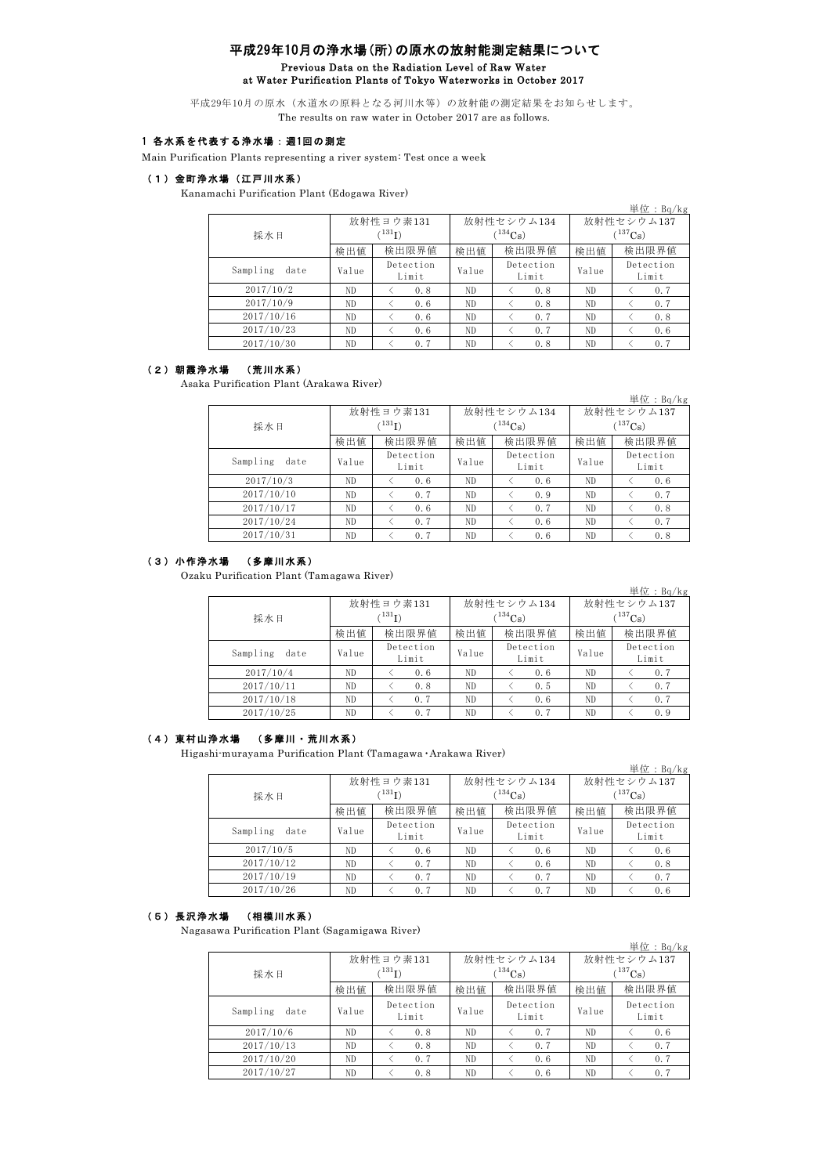# 平成29年10月の浄水場(所)の原水の放射能測定結果について Previous Data on the Radiation Level of Raw Water at Water Purification Plants of Tokyo Waterworks in October 2017

平成29年10月の原水(水道水の原料となる河川水等)の放射能の測定結果をお知らせします。 The results on raw water in October 2017 are as follows.

### 1 各水系を代表する浄水場:週1回の測定

Main Purification Plants representing a river system: Test once a week

## (1)金町浄水場(江戸川水系)

Kanamachi Purification Plant (Edogawa River)

|                  |             |                    |       |                    |              | 単位: $Bq/kg$        |  |
|------------------|-------------|--------------------|-------|--------------------|--------------|--------------------|--|
|                  |             | 放射性ヨウ素131          |       | 放射性セシウム134         | 放射性セシウム137   |                    |  |
| 採水日              | $(^{131}I)$ |                    |       | $134C_s$           | $(^{137}Cs)$ |                    |  |
|                  | 検出値         | 検出限界値              | 検出値   | 検出限界値              | 検出値          | 検出限界値              |  |
| Sampling<br>date | Value       | Detection<br>Limit | Value | Detection<br>Limit | Value        | Detection<br>Limit |  |
| 2017/10/2        | ND.         | 0.8                | ND    | 0.8                | ND.          | 0.7                |  |
| 2017/10/9        | ND.         | 0.6                | ND    | 0.8                | ND.          | 0.7                |  |
| 2017/10/16       | ND.         | 0.6                | ND.   | 0.7                | ND.          | 0.8                |  |
| 2017/10/23       | ND          | 0.6                | ND    | 0.7                | ND.          | 0.6                |  |
| 2017/10/30       | ND          | 0.7                | ND    | 0.8                | ND.          | 0.7                |  |

#### (2)朝霞浄水場 (荒川水系)

Asaka Purification Plant (Arakawa River)

|                  |             |                    |       |                    |              | 単位: $Bq/kg$        |  |
|------------------|-------------|--------------------|-------|--------------------|--------------|--------------------|--|
|                  |             | 放射性ヨウ素131          |       | 放射性セシウム134         | 放射性セシウム137   |                    |  |
| 採水日              | $(^{131}I)$ |                    |       | $134C_8$           | $(^{137}Cs)$ |                    |  |
|                  | 検出値         | 検出限界値<br>検出値       |       | 検出限界値              | 検出値          | 検出限界値              |  |
| Sampling<br>date | Value       | Detection<br>Limit | Value | Detection<br>Limit | Value        | Detection<br>Limit |  |
| 2017/10/3        | ND.         | 0.6                | ND.   | 0.6                | ND           | 0.6                |  |
| 2017/10/10       | ND          | 0.7                | ND.   | 0.9                | ND           | 0.7                |  |
| 2017/10/17       | ND.         | 0.6                | ND.   | 0.7                | ND           | 0.8                |  |
| 2017/10/24       | ND          | 0.7                | ND.   | 0.6                | ND           | 0.7                |  |
| 2017/10/31       | ND          | 0.7                | ND    | 0.6                | ND           | 0.8                |  |

## (3)小作浄水場 (多摩川水系)

Ozaku Purification Plant (Tamagawa River)

|                  |       |                             |       |                            |                            | 単位: $Bq/kg$        |  |
|------------------|-------|-----------------------------|-------|----------------------------|----------------------------|--------------------|--|
| 採水日              |       | 放射性ヨウ素131<br>$\rm ^{131}I)$ |       | 放射性セシウム134<br>$^{134}Cs$ ) | 放射性セシウム137<br>$(^{137}Cs)$ |                    |  |
|                  | 検出値   | 検出限界値                       | 検出値   | 検出限界値                      | 検出値                        | 検出限界値              |  |
| Sampling<br>date | Value | Detection<br>Limit          | Value | Detection<br>Limit         | Value                      | Detection<br>Limit |  |
| 2017/10/4        | ND    | 0.6                         | ND.   | 0.6                        | ND.                        | 0.7                |  |
| 2017/10/11       | ND    | 0.8                         | ND    | 0.5                        | ND                         | 0.7                |  |
| 2017/10/18       | ND    | 0.7                         | ND    | 0.6                        | ND                         | 0.7                |  |
| 2017/10/25       | ND    | 0.7                         | ND    | 0.7                        | ND                         | 0.9                |  |

### (4)東村山浄水場 (多摩川・荒川水系)

Higashi-murayama Purification Plant (Tamagawa ・Arakawa River)

|                  |       |                          |       |                              |                            | 単位: $Bq/kg$        |  |
|------------------|-------|--------------------------|-------|------------------------------|----------------------------|--------------------|--|
| 採水日              |       | 放射性ヨウ素131<br>$^{131}$ I) |       | 放射性セシウム134<br>$\rm ^{134}Cs$ | 放射性セシウム137<br>$(^{137}Cs)$ |                    |  |
|                  | 検出値   | 検出限界値                    |       | 検出限界値<br>検出値                 |                            | 検出限界値<br>検出値       |  |
|                  |       |                          |       |                              |                            |                    |  |
| Sampling<br>date | Value | Detection<br>Limit       | Value | Detection<br>Limit           | Value                      | Detection<br>Limit |  |
| 2017/10/5        | ND.   | 0.6                      | ND    | 0.6                          | ND                         | 0.6                |  |
| 2017/10/12       | ND.   | 0.7                      | ND    | 0.6                          | ND                         | 0.8                |  |
| 2017/10/19       | ND.   | 0.7                      | ND    | 0.7                          | ND                         | 0.7                |  |
| 2017/10/26       | ND    | 0.7                      | ND    | 0.7                          | ND                         | 0.6                |  |

#### (5)長沢浄水場 (相模川水系)

Nagasawa Purification Plant (Sagamigawa River)

|                  |       |                          |       |                              |                            | 単位: $Bq/kg$        |  |
|------------------|-------|--------------------------|-------|------------------------------|----------------------------|--------------------|--|
| 採水日              |       | 放射性ヨウ素131<br>$^{131}$ I) |       | 放射性セシウム134<br>$\rm ^{134}Cs$ | 放射性セシウム137<br>$(^{137}Cs)$ |                    |  |
|                  | 検出値   | 検出限界値<br>検出値             |       | 検出限界値                        | 検出値                        | 検出限界値              |  |
| Sampling<br>date | Value | Detection<br>Limit       | Value | Detection<br>Limit           | Value                      | Detection<br>Limit |  |
| 2017/10/6        | ND    | 0.8                      | ND    | 0.7                          | ND.                        | 0.6                |  |
| 2017/10/13       | ND    | 0.8                      | ND    | 0.7                          | ND.                        | 0.7                |  |
| 2017/10/20       | ND.   | 0.7                      | ND    | 0.6                          | ND                         | 0.7                |  |
| 2017/10/27       | ND    | 0.8                      | ND    | 0.6                          | ND                         | 0.7                |  |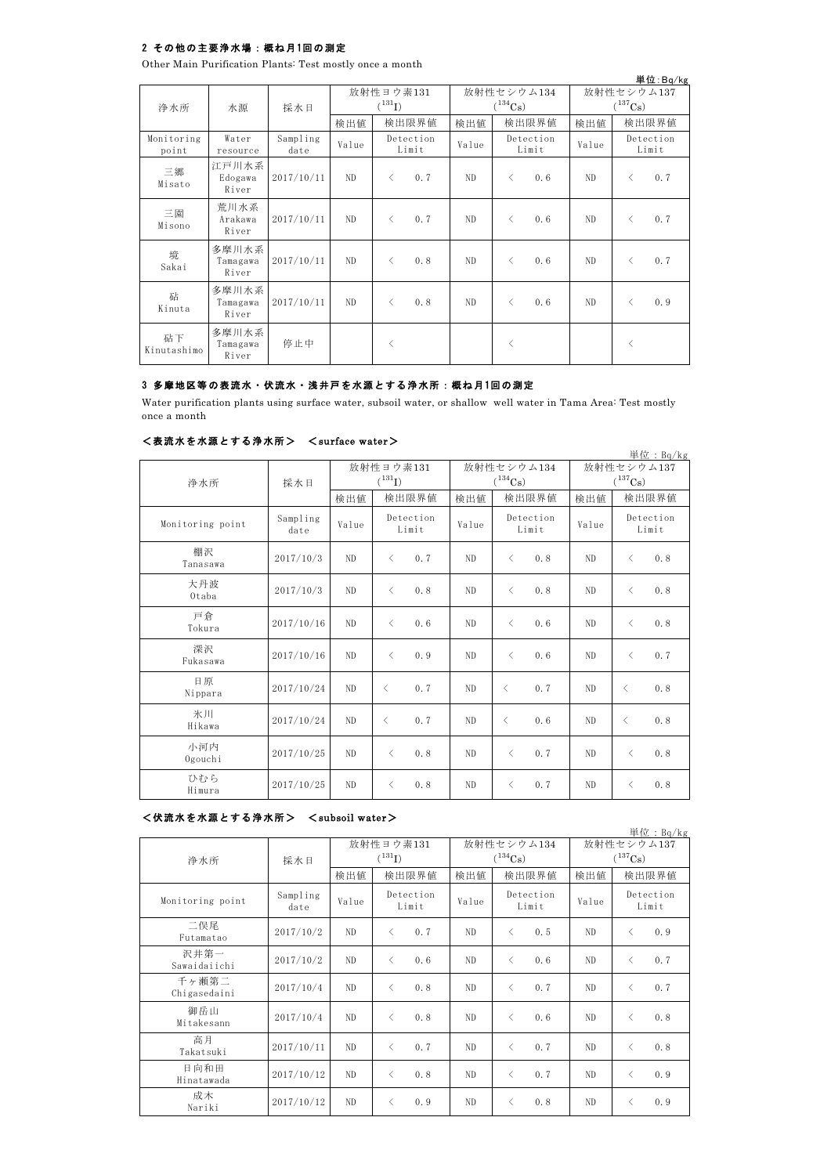## 2 その他の主要浄水場:概ね月1回の測定

Other Main Purification Plants: Test mostly once a month

|                     |                            |                  |                          |                    |                            |       |           |                            |       |                                          | 単位:Bq/kg           |  |
|---------------------|----------------------------|------------------|--------------------------|--------------------|----------------------------|-------|-----------|----------------------------|-------|------------------------------------------|--------------------|--|
| 浄水所                 | 水源                         | 採水日              | 放射性ヨウ素131<br>$(^{131}I)$ |                    | 放射性セシウム134<br>$(^{134}Cs)$ |       |           | 放射性セシウム137<br>$(^{137}Cs)$ |       |                                          |                    |  |
|                     |                            |                  | 検出値                      |                    | 検出限界値                      | 検出値   |           | 検出限界値                      | 検出値   |                                          | 検出限界値              |  |
| Monitoring<br>point | Water<br>resource          | Sampling<br>date | Value                    | Detection<br>Limit |                            | Value |           | Detection<br>Limit         | Value |                                          | Detection<br>Limit |  |
| 三郷<br>Misato        | 江戸川水系<br>Edogawa<br>River  | 2017/10/11       | ND.                      | $\langle$          | 0.7                        | ND.   | $\langle$ | 0.6                        | ND.   | $\overline{\left\langle \right\rangle }$ | 0.7                |  |
| 三園<br>Misono        | 荒川水系<br>Arakawa<br>River   | 2017/10/11       | ND.                      | $\lt$              | 0.7                        | ND.   | $\langle$ | 0.6                        | ND    | $\lt$                                    | 0.7                |  |
| 境<br>Sakai          | 多摩川水系<br>Tamagawa<br>River | 2017/10/11       | ND.                      | $\lt$              | 0.8                        | ND    | $\langle$ | 0.6                        | ND    | $\langle$                                | 0.7                |  |
| 砧<br>Kinuta         | 多摩川水系<br>Tamagawa<br>River | 2017/10/11       | ND.                      | $\langle$          | 0.8                        | ND.   | $\langle$ | 0.6                        | ND    | $\overline{\left\langle \right\rangle }$ | 0.9                |  |
| 砧下<br>Kinutashimo   | 多摩川水系<br>Tamagawa<br>River | 停止中              |                          | $\langle$          |                            |       | $\langle$ |                            |       | $\langle$                                |                    |  |

## 3 多摩地区等の表流水・伏流水・浅井戸を水源とする浄水所:概ね月1回の測定

Water purification plants using surface water, subsoil water, or shallow well water in Tama Area: Test mostly once a month

### <表流水を水源とする浄水所> <surface water>

| 単位: $Bq/kg$      |                  |                |                                                 |                |                    |              |                    |  |  |  |
|------------------|------------------|----------------|-------------------------------------------------|----------------|--------------------|--------------|--------------------|--|--|--|
|                  |                  |                | 放射性ヨウ素131                                       |                | 放射性セシウム134         | 放射性セシウム137   |                    |  |  |  |
| 浄水所              | 採水日              | $(^{131}I)$    |                                                 |                | $(^{134}Cs)$       | $(^{137}Cs)$ |                    |  |  |  |
|                  |                  | 検出値            | 検出限界値                                           | 検出値            | 検出限界値              | 検出値          | 検出限界値              |  |  |  |
| Monitoring point | Sampling<br>date | Value          | Detection<br>Limit                              | Value          | Detection<br>Limit | Value        | Detection<br>Limit |  |  |  |
| 棚沢<br>Tanasawa   | 2017/10/3        | N <sub>D</sub> | 0.7<br>$\langle$                                | ND.            | 0.8<br>$\langle$   | ND           | 0.8<br>$\langle$   |  |  |  |
| 大丹波<br>Otaba     | 2017/10/3        | N <sub>D</sub> | 0.8<br>$\langle$                                | ND.            | 0.8<br>$\langle$   | ND.          | 0.8<br>$\langle$   |  |  |  |
| 戸倉<br>Tokura     | 2017/10/16       | N <sub>D</sub> | 0.6<br>$\langle$                                | ND.            | 0.6<br>$\langle$   | ND.          | 0.8<br>$\langle$   |  |  |  |
| 深沢<br>Fukasawa   | 2017/10/16       | N <sub>D</sub> | 0.9<br>$\langle$                                | ND.            | $\langle$<br>0.6   | ND           | 0.7<br>$\langle$   |  |  |  |
| 日原<br>Nippara    | 2017/10/24       | N <sub>D</sub> | 0.7<br>$\langle$                                | ND.            | 0.7<br>$\langle$   | ND.          | 0.8<br>$\langle$   |  |  |  |
| 氷川<br>Hikawa     | 2017/10/24       | N <sub>D</sub> | $\langle$<br>0.7                                | N <sub>D</sub> | 0.6<br>$\lt$       | ND.          | 0.8<br>$\langle$   |  |  |  |
| 小河内<br>Ogouchi   | 2017/10/25       | ND.            | 0.8<br>$\langle$                                | ND.            | 0.7<br>$\langle$   | ND.          | 0.8<br>$\langle$   |  |  |  |
| ひむら<br>Himura    | 2017/10/25       | ND             | 0.8<br>$\overline{\left\langle \right\rangle }$ | ND             | 0.7<br>$\langle$   | ND.          | 0.8<br>$\lt$       |  |  |  |

### <伏流水を水源とする浄水所> <subsoil water>

単位:Bq/kg 検出値 | 検出値 | 検出限界値 | 検出値 | 検出限界値 Sampling mpiing Value Deceetion Value Deceetion Value  $2017/10/2$  ND < 0.7 ND < 0.5 ND < 0.9  $2017/10/2$  ND < 0.6 ND < 0.6 ND < 0.7  $2017/10/4$  ND < 0.8 ND < 0.7 ND < 0.7 2017/10/4 ND < 0.8 ND < 0.6 ND < 0.8  $2017/10/11$  ND < 0.7 ND < 0.7 ND < 0.8 2017/10/12 ND < 0.8 ND < 0.7 ND < 0.9 2017/10/12 ND < 0.9 ND < 0.8 ND < 0.9 二俣尾 Futamatao 成木 Nariki 放射性ヨウ素131  $(^{131}I)$ 高月 Takatsuki 日向和田 Hinatawada 放射性セシウム137  $(^{137}Cs)$ 放射性セシウム134  $(^{134}Cs)$ Detection Limit Monitoring point Sampling Value Detection Limit Detection Limit 浄水所 採水日 沢井第一 Sawaidaiichi 千ヶ瀬第二 Chigasedaini 御岳山 Mitakesann